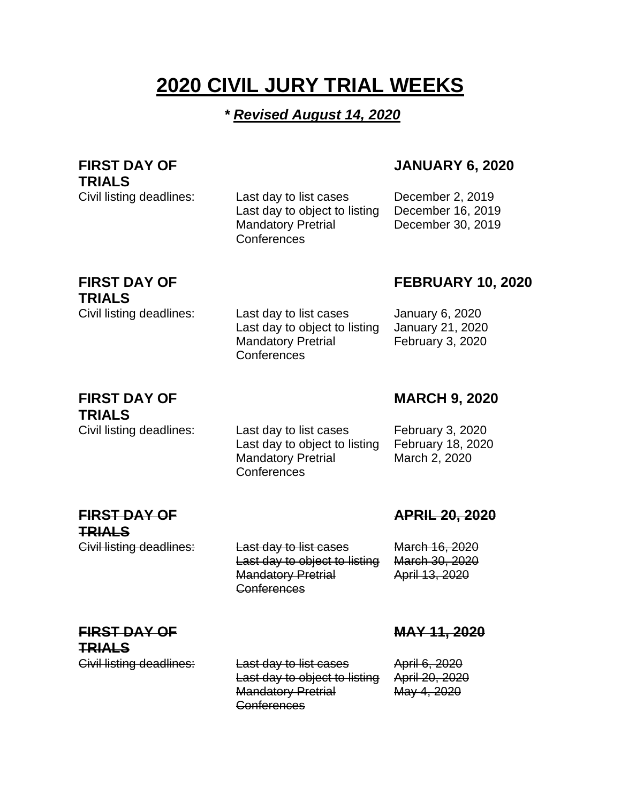# **2020 CIVIL JURY TRIAL WEEKS**

### *\* Revised August 14, 2020*

### **FIRST DAY OF TRIALS**

#### Civil listing deadlines: Last day to list cases December 2, 2019 Last day to object to listing December 16, 2019 Mandatory Pretrial **Conferences**

### **JANUARY 6, 2020**

December 30, 2019

# **FIRST DAY OF TRIALS**

### **FEBRUARY 10, 2020**

Civil listing deadlines: Last day to list cases January 6, 2020 Last day to object to listing January 21, 2020 Mandatory Pretrial **Conferences** February 3, 2020

#### **FIRST DAY OF TRIALS**

**MARCH 9, 2020**

Civil listing deadlines: Last day to list cases February 3, 2020 Last day to object to listing February 18, 2020 Mandatory Pretrial **Conferences** 

March 2, 2020

### **FIRST DAY OF TRIALS**

Civil listing deadlines: Last day to list cases March 16, 2020

**APRIL 20, 2020**

Last day to object to listing March 30, 2020 April 13, 2020

# **FIRST DAY OF TRIALS**

Civil listing deadlines: Last day to list cases April 6, 2020 Last day to object to listing April 20, 2020 Mandatory Pretrial **Conferences** 

Mandatory Pretrial

**Conferences** 

**MAY 11, 2020**

May 4, 2020